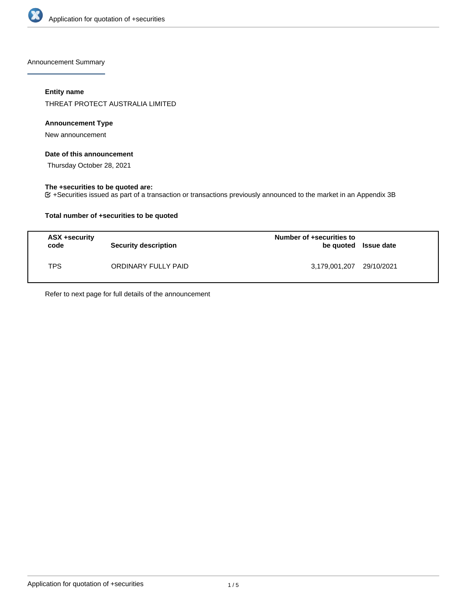

Announcement Summary

## **Entity name**

THREAT PROTECT AUSTRALIA LIMITED

## **Announcement Type**

New announcement

## **Date of this announcement**

Thursday October 28, 2021

## **The +securities to be quoted are:**

+Securities issued as part of a transaction or transactions previously announced to the market in an Appendix 3B

## **Total number of +securities to be quoted**

| ASX +security<br>code | <b>Security description</b> | Number of +securities to<br>be quoted Issue date |  |
|-----------------------|-----------------------------|--------------------------------------------------|--|
| TPS                   | ORDINARY FULLY PAID         | 3,179,001,207 29/10/2021                         |  |

Refer to next page for full details of the announcement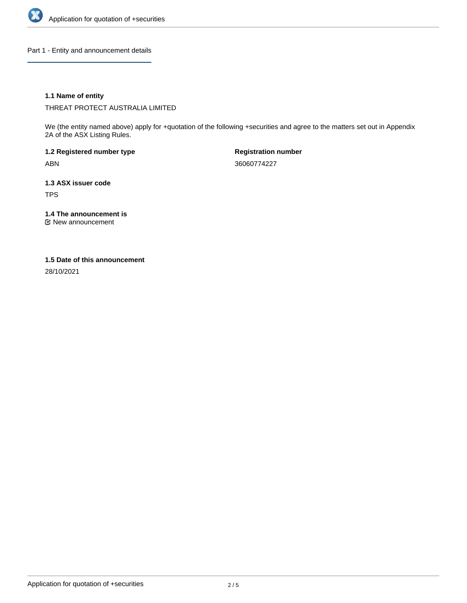

Part 1 - Entity and announcement details

## **1.1 Name of entity**

THREAT PROTECT AUSTRALIA LIMITED

We (the entity named above) apply for +quotation of the following +securities and agree to the matters set out in Appendix 2A of the ASX Listing Rules.

**1.2 Registered number type** ABN

**Registration number** 36060774227

**1.3 ASX issuer code** TPS

**1.4 The announcement is**

New announcement

### **1.5 Date of this announcement**

28/10/2021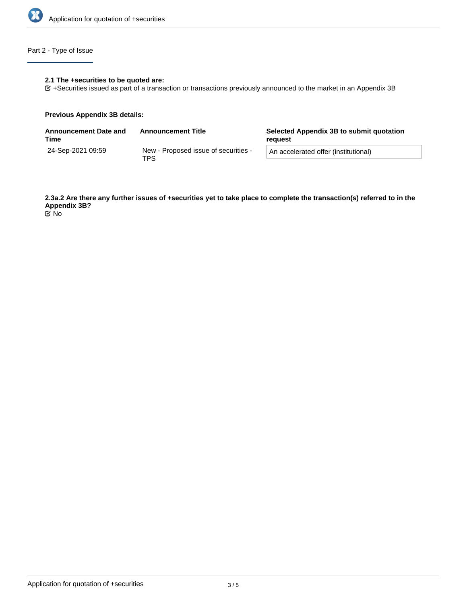

## Part 2 - Type of Issue

## **2.1 The +securities to be quoted are:**

+Securities issued as part of a transaction or transactions previously announced to the market in an Appendix 3B

#### **Previous Appendix 3B details:**

| Announcement Date and<br>Time | <b>Announcement Title</b>                   | Selected Appendix 3B to submit quotation<br>reguest |  |
|-------------------------------|---------------------------------------------|-----------------------------------------------------|--|
| 24-Sep-2021 09:59             | New - Proposed issue of securities -<br>TPS | An accelerated offer (institutional)                |  |

**2.3a.2 Are there any further issues of +securities yet to take place to complete the transaction(s) referred to in the Appendix 3B?**

No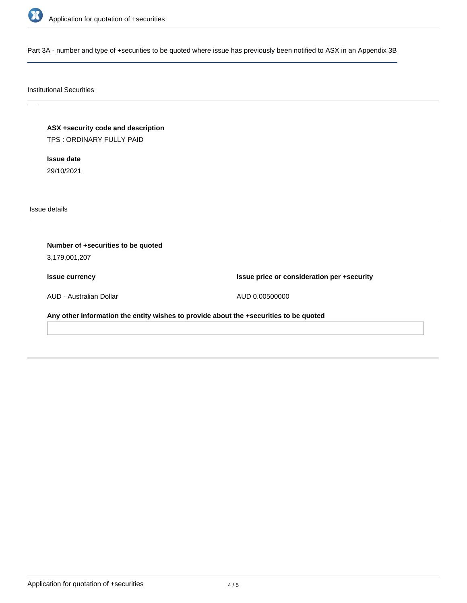

Part 3A - number and type of +securities to be quoted where issue has previously been notified to ASX in an Appendix 3B

# Institutional Securities

**ASX +security code and description** TPS : ORDINARY FULLY PAID

**Issue date** 29/10/2021

Issue details

**Number of +securities to be quoted** 3,179,001,207 **Issue currency** AUD - Australian Dollar **Issue price or consideration per +security** AUD 0.00500000 **Any other information the entity wishes to provide about the +securities to be quoted**